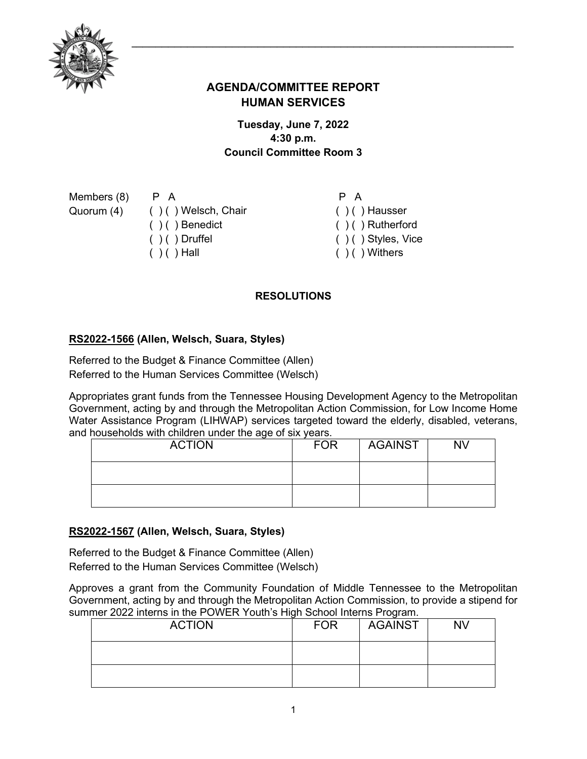

# **AGENDA/COMMITTEE REPORT HUMAN SERVICES**

## **Tuesday, June 7, 2022 4:30 p.m. Council Committee Room 3**

Members (8) Quorum (4)

( ) ( ) Welsch, Chair ( ) ( ) Benedict  $( ) ( )$  Druffel  $( ) ( )$  Hall

P A

P A

- ( ) ( ) Hausser ( ) ( ) Rutherford
- ( ) ( ) Styles, Vice
- $( )$  ( ) Withers

## **RESOLUTIONS**

## **[RS2022-1566](http://nashville.legistar.com/gateway.aspx?m=l&id=/matter.aspx?key=14612) (Allen, Welsch, Suara, Styles)**

Referred to the Budget & Finance Committee (Allen) Referred to the Human Services Committee (Welsch)

Appropriates grant funds from the Tennessee Housing Development Agency to the Metropolitan Government, acting by and through the Metropolitan Action Commission, for Low Income Home Water Assistance Program (LIHWAP) services targeted toward the elderly, disabled, veterans, and households with children under the age of six years.

| <b>ACTION</b> | <b>FOR</b> | <b>AGAINST</b> | <b>NV</b> |
|---------------|------------|----------------|-----------|
|               |            |                |           |
|               |            |                |           |

#### **[RS2022-1567](http://nashville.legistar.com/gateway.aspx?m=l&id=/matter.aspx?key=14610) (Allen, Welsch, Suara, Styles)**

Referred to the Budget & Finance Committee (Allen) Referred to the Human Services Committee (Welsch)

Approves a grant from the Community Foundation of Middle Tennessee to the Metropolitan Government, acting by and through the Metropolitan Action Commission, to provide a stipend for summer 2022 interns in the POWER Youth's High School Interns Program.

| <b>ACTION</b> | <b>FOR</b> | AGAINST | <b>NV</b> |
|---------------|------------|---------|-----------|
|               |            |         |           |
|               |            |         |           |